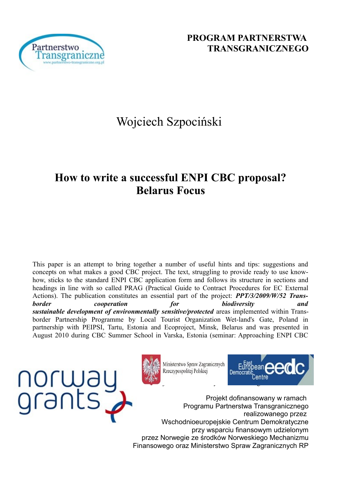

# Wojciech Szpociński

## **How to write a successful ENPI CBC proposal? Belarus Focus**

This paper is an attempt to bring together a number of useful hints and tips: suggestions and concepts on what makes a good CBC project. The text, struggling to provide ready to use knowhow, sticks to the standard ENPI CBC application form and follows its structure in sections and headings in line with so called PRAG (Practical Guide to Contract Procedures for EC External Actions). The publication constitutes an essential part of the project: *PPT/3/2009/W/52 Transborder cooperation for biodiversity and sustainable development of environmentally sensitive/protected* areas implemented within Transborder Partnership Programme by Local Tourist Organization Wet-land's Gate, Poland in partnership with PEIPSI, Tartu, Estonia and Ecoproject, Minsk, Belarus and was presented in August 2010 during CBC Summer School in Varska, Estonia (seminar: Approaching ENPI CBC





Ministerstwo Spraw Zagranicznych Rzeczypospolitej Polskiej

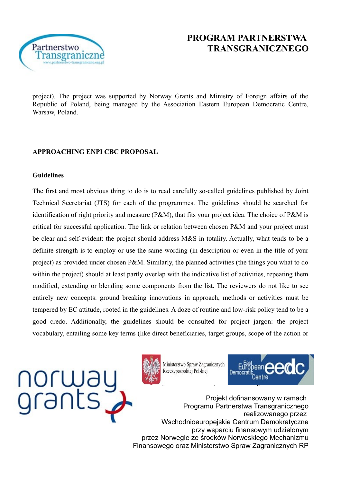

project). The project was supported by Norway Grants and Ministry of Foreign affairs of the Republic of Poland, being managed by the Association Eastern European Democratic Centre, Warsaw, Poland.

#### **APPROACHING ENPI CBC PROPOSAL**

#### **Guidelines**

The first and most obvious thing to do is to read carefully so-called guidelines published by Joint Technical Secretariat (JTS) for each of the programmes. The guidelines should be searched for identification of right priority and measure (P&M), that fits your project idea. The choice of P&M is critical for successful application. The link or relation between chosen P&M and your project must be clear and self-evident: the project should address M&S in totality. Actually, what tends to be a definite strength is to employ or use the same wording (in description or even in the title of your project) as provided under chosen P&M. Similarly, the planned activities (the things you what to do within the project) should at least partly overlap with the indicative list of activities, repeating them modified, extending or blending some components from the list. The reviewers do not like to see entirely new concepts: ground breaking innovations in approach, methods or activities must be tempered by EC attitude, rooted in the guidelines. A doze of routine and low-risk policy tend to be a good credo. Additionally, the guidelines should be consulted for project jargon: the project vocabulary, entailing some key terms (like direct beneficiaries, target groups, scope of the action or





Ministerstwo Spraw Zagranicznych Rzeczypospolitej Polskiej

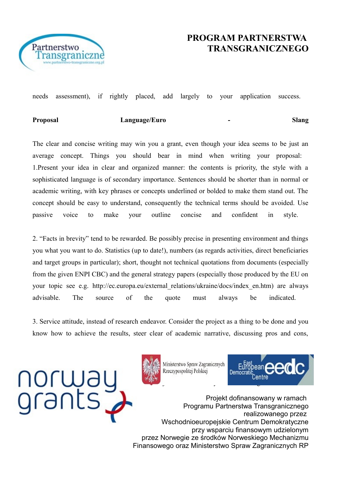

needs assessment), if rightly placed, add largely to your application success.

**Proposal Language/Euro - Slang**

The clear and concise writing may win you a grant, even though your idea seems to be just an average concept. Things you should bear in mind when writing your proposal: 1.Present your idea in clear and organized manner: the contents is priority, the style with a sophisticated language is of secondary importance. Sentences should be shorter than in normal or academic writing, with key phrases or concepts underlined or bolded to make them stand out. The concept should be easy to understand, consequently the technical terms should be avoided. Use passive voice to make your outline concise and confident in style.

2. "Facts in brevity" tend to be rewarded. Be possibly precise in presenting environment and things you what you want to do. Statistics (up to date!), numbers (as regards activities, direct beneficiaries and target groups in particular); short, thought not technical quotations from documents (especially from the given ENPI CBC) and the general strategy papers (especially those produced by the EU on your topic see e.g. http://ec.europa.eu/external\_relations/ukraine/docs/index\_en.htm) are always advisable. The source of the quote must always be indicated.

3. Service attitude, instead of research endeavor. Consider the project as a thing to be done and you know how to achieve the results, steer clear of academic narrative, discussing pros and cons,





Ministerstwo Spraw Zagranicznych Rzeczypospolitej Polskiej

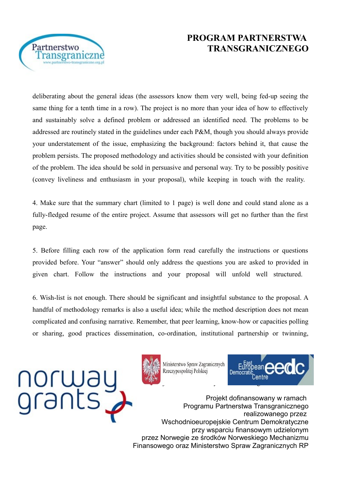

deliberating about the general ideas (the assessors know them very well, being fed-up seeing the same thing for a tenth time in a row). The project is no more than your idea of how to effectively and sustainably solve a defined problem or addressed an identified need. The problems to be addressed are routinely stated in the guidelines under each P&M, though you should always provide your understatement of the issue, emphasizing the background: factors behind it, that cause the problem persists. The proposed methodology and activities should be consisted with your definition of the problem. The idea should be sold in persuasive and personal way. Try to be possibly positive (convey liveliness and enthusiasm in your proposal), while keeping in touch with the reality.

4. Make sure that the summary chart (limited to 1 page) is well done and could stand alone as a fully-fledged resume of the entire project. Assume that assessors will get no further than the first page.

5. Before filling each row of the application form read carefully the instructions or questions provided before. Your "answer" should only address the questions you are asked to provided in given chart. Follow the instructions and your proposal will unfold well structured.

6. Wish-list is not enough. There should be significant and insightful substance to the proposal. A handful of methodology remarks is also a useful idea; while the method description does not mean complicated and confusing narrative. Remember, that peer learning, know-how or capacities polling or sharing, good practices dissemination, co-ordination, institutional partnership or twinning,





Ministerstwo Spraw Zagranicznych Rzeczypospolitej Polskiej

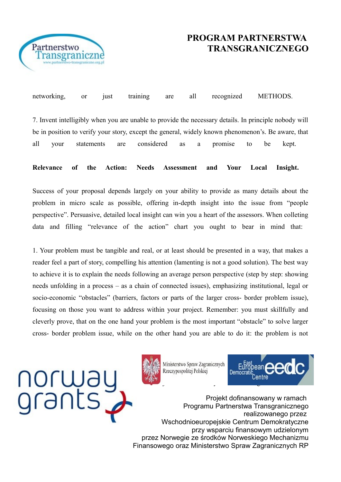

networking, or just training are all recognized METHODS. 7. Invent intelligibly when you are unable to provide the necessary details. In principle nobody will be in position to verify your story, except the general, widely known phenomenon's. Be aware, that all your statements are considered as a promise to be kept.

**Relevance of the Action: Needs Assessment and Your Local Insight.** 

Success of your proposal depends largely on your ability to provide as many details about the problem in micro scale as possible, offering in-depth insight into the issue from "people perspective". Persuasive, detailed local insight can win you a heart of the assessors. When colleting data and filling "relevance of the action" chart you ought to bear in mind that:

1. Your problem must be tangible and real, or at least should be presented in a way, that makes a reader feel a part of story, compelling his attention (lamenting is not a good solution). The best way to achieve it is to explain the needs following an average person perspective (step by step: showing needs unfolding in a process – as a chain of connected issues), emphasizing institutional, legal or socio-economic "obstacles" (barriers, factors or parts of the larger cross- border problem issue), focusing on those you want to address within your project. Remember: you must skillfully and cleverly prove, that on the one hand your problem is the most important "obstacle" to solve larger cross- border problem issue, while on the other hand you are able to do it: the problem is not





Ministerstwo Spraw Zagranicznych Rzeczypospolitej Polskiej

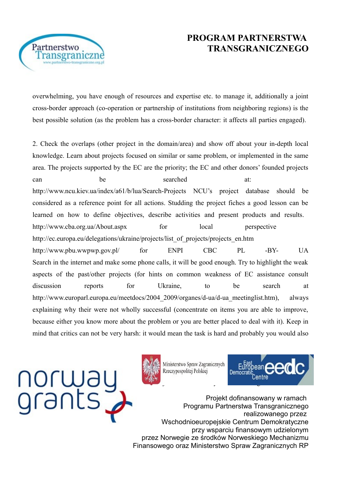

overwhelming, you have enough of resources and expertise etc. to manage it, additionally a joint cross-border approach (co-operation or partnership of institutions from neighboring regions) is the best possible solution (as the problem has a cross-border character: it affects all parties engaged).

2. Check the overlaps (other project in the domain/area) and show off about your in-depth local knowledge. Learn about projects focused on similar or same problem, or implemented in the same area. The projects supported by the EC are the priority; the EC and other donors' founded projects can be searched at: http://www.ncu.kiev.ua/index/a61/b/lua/Search-Projects NCU's project database should be considered as a reference point for all actions. Studding the project fiches a good lesson can be learned on how to define objectives, describe activities and present products and results. http://www.cba.org.ua/About.aspx for local perspective http://ec.europa.eu/delegations/ukraine/projects/list\_of\_projects/projects\_en.htm http://www.pbu.wwpwp.gov.pl/ for ENPI CBC PL -BY- UA Search in the internet and make some phone calls, it will be good enough. Try to highlight the weak aspects of the past/other projects (for hints on common weakness of EC assistance consult discussion reports for Ukraine, to be search at http://www.europarl.europa.eu/meetdocs/2004\_2009/organes/d-ua/d-ua\_meetinglist.htm), always explaining why their were not wholly successful (concentrate on items you are able to improve, because either you know more about the problem or you are better placed to deal with it). Keep in mind that critics can not be very harsh: it would mean the task is hard and probably you would also



Partnerstwo

ransgraniczi



Ministerstwo Spraw Zagranicznych Rzeczypospolitej Polskiej

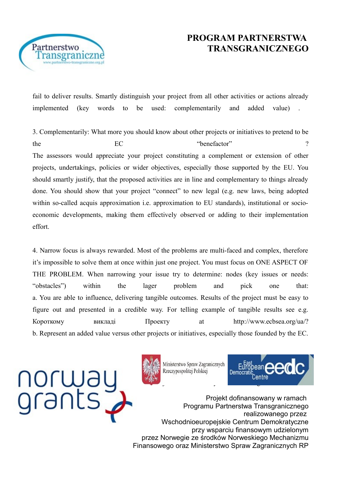

Partnerstwo ransgraniczn

> fail to deliver results. Smartly distinguish your project from all other activities or actions already implemented (key words to be used: complementarily and added value) .

> 3. Complementarily: What more you should know about other projects or initiatives to pretend to be the EC <sup>"benefactor"</sup> ? The assessors would appreciate your project constituting a complement or extension of other projects, undertakings, policies or wider objectives, especially those supported by the EU. You should smartly justify, that the proposed activities are in line and complementary to things already done. You should show that your project "connect" to new legal (e.g. new laws, being adopted within so-called acquis approximation i.e. approximation to EU standards), institutional or socioeconomic developments, making them effectively observed or adding to their implementation effort.

> 4. Narrow focus is always rewarded. Most of the problems are multi-faced and complex, therefore it's impossible to solve them at once within just one project. You must focus on ONE ASPECT OF THE PROBLEM. When narrowing your issue try to determine: nodes (key issues or needs: "obstacles") within the lager problem and pick one that: a. You are able to influence, delivering tangible outcomes. Results of the project must be easy to figure out and presented in a credible way. For telling example of tangible results see e.g. Короткому викладі Проекту at http://www.ecbsea.org/ua/? b. Represent an added value versus other projects or initiatives, especially those founded by the EC.





Ministerstwo Spraw Zagranicznych Rzeczypospolitej Polskiej

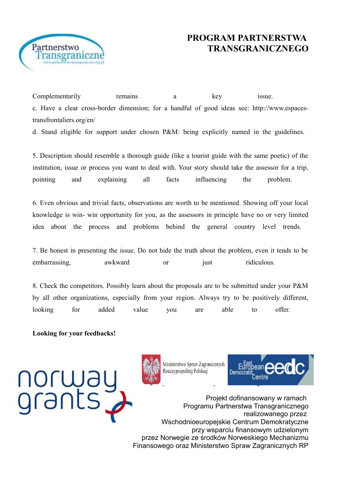

Complementarily remains a key issue. c. Have a clear cross-border dimension; for a handful of good ideas see: http://www.espacestransfrontaliers.org/en/

d. Stand eligible for support under chosen P&M: being explicitly named in the guidelines.

5. Description should resemble a thorough guide (like a tourist guide with the same poetic) of the institution, issue or process you want to deal with. Your story should take the assessor for a trip, pointing and explaining all facts influencing the problem.

6. Even obvious and trivial facts, observations are worth to be mentioned. Showing off your local knowledge is win- win opportunity for you, as the assessors in principle have no or very limited idea about the process and problems behind the general country level trends.

7. Be honest in presenting the issue. Do not hide the truth about the problem, even it tends to be embarrassing. awkward or just ridiculous.

8. Check the competitors. Possibly learn about the proposals are to be submitted under your P&M by all other organizations, especially from your region. Always try to be positively different, looking for added value you are able to offer.

**Looking for your feedbacks!**





Ministerstwo Spraw Zagranicznych Rzeczypospolitej Polskiej